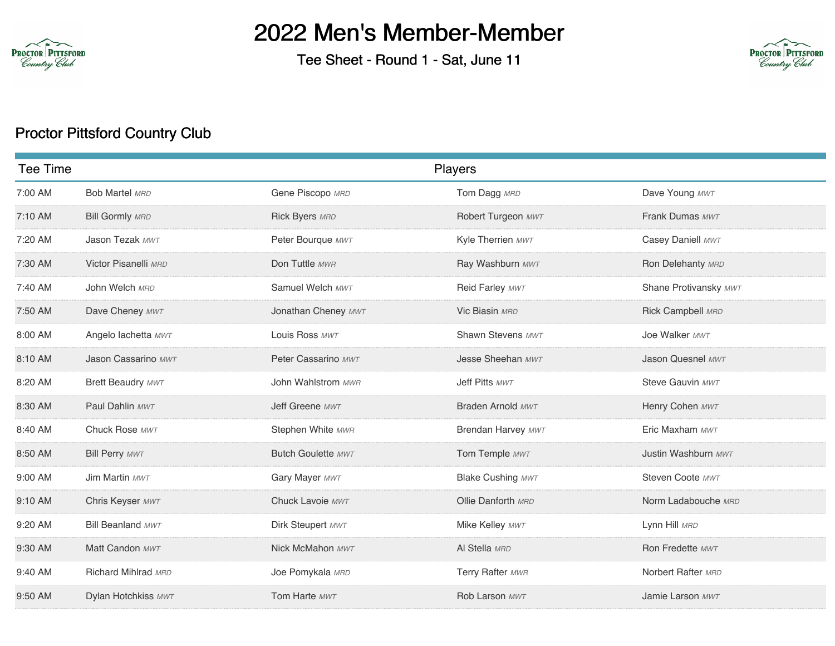

## 2022 Men's Member-Member

Tee Sheet - Round 1 - Sat, June 11



## Proctor Pittsford Country Club

| Tee Time |                          | Players                   |                          |                       |
|----------|--------------------------|---------------------------|--------------------------|-----------------------|
| 7:00 AM  | <b>Bob Martel MRD</b>    | Gene Piscopo MRD          | Tom Dagg MRD             | Dave Young MWT        |
| 7:10 AM  | <b>Bill Gormly MRD</b>   | Rick Byers MRD            | Robert Turgeon MWT       | Frank Dumas MWT       |
| 7:20 AM  | Jason Tezak MWT          | Peter Bourque MWT         | Kyle Therrien MWT        | Casey Daniell MWT     |
| 7:30 AM  | Victor Pisanelli MRD     | Don Tuttle MWR            | Ray Washburn MWT         | Ron Delehanty MRD     |
| 7:40 AM  | John Welch MRD           | Samuel Welch MWT          | Reid Farley MWT          | Shane Protivansky MWT |
| 7:50 AM  | Dave Cheney MWT          | Jonathan Cheney MWT       | Vic Biasin MRD           | Rick Campbell MRD     |
| 8:00 AM  | Angelo lachetta MWT      | Louis Ross MWT            | Shawn Stevens MWT        | Joe Walker MWT        |
| 8:10 AM  | Jason Cassarino MWT      | Peter Cassarino MWT       | Jesse Sheehan MWT        | Jason Quesnel MWT     |
| 8:20 AM  | Brett Beaudry MWT        | John Wahlstrom MWR        | Jeff Pitts MWT           | Steve Gauvin MWT      |
| 8:30 AM  | Paul Dahlin MWT          | Jeff Greene MWT           | Braden Arnold MWT        | Henry Cohen MWT       |
| 8:40 AM  | Chuck Rose MWT           | Stephen White MWR         | Brendan Harvey MWT       | Eric Maxham MWT       |
| 8:50 AM  | <b>Bill Perry MWT</b>    | <b>Butch Goulette MWT</b> | Tom Temple MWT           | Justin Washburn MWT   |
| 9:00 AM  | Jim Martin MWT           | Gary Mayer MWT            | <b>Blake Cushing MWT</b> | Steven Coote MWT      |
| 9:10 AM  | Chris Keyser MWT         | Chuck Lavoie MWT          | Ollie Danforth MRD       | Norm Ladabouche MRD   |
| 9:20 AM  | <b>Bill Beanland MWT</b> | Dirk Steupert MWT         | Mike Kelley MWT          | Lynn Hill MRD         |
| 9:30 AM  | Matt Candon MWT          | Nick McMahon MWT          | Al Stella MRD            | Ron Fredette MWT      |
| 9:40 AM  | Richard Mihlrad MRD      | Joe Pomykala MRD          | Terry Rafter MWR         | Norbert Rafter MRD    |
| 9:50 AM  | Dylan Hotchkiss MWT      | Tom Harte MWT             | Rob Larson MWT           | Jamie Larson MWT      |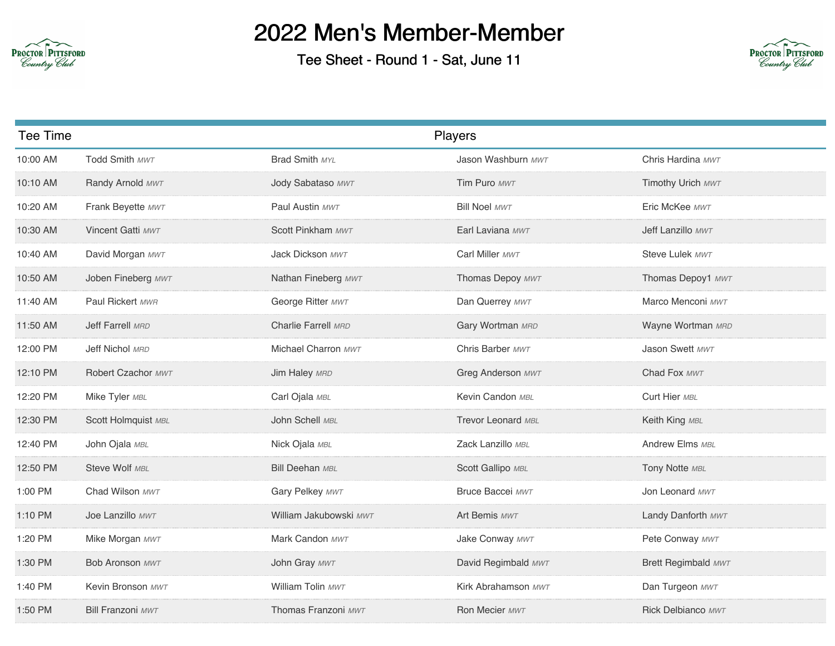

## 2022 Men's Member-Member

Tee Sheet - Round 1 - Sat, June 11



| Tee Time |                          |                        | Players              |                     |
|----------|--------------------------|------------------------|----------------------|---------------------|
| 10:00 AM | Todd Smith MWT           | Brad Smith MYL         | Jason Washburn MWT   | Chris Hardina MWT   |
| 10:10 AM | Randy Arnold MWT         | Jody Sabataso MWT      | Tim Puro MWT         | Timothy Urich MWT   |
| 10:20 AM | Frank Beyette MWT        | Paul Austin MWT        | <b>Bill Noel MWT</b> | Eric McKee MWT      |
| 10:30 AM | Vincent Gatti MWT        | Scott Pinkham MWT      | Earl Laviana MWT     | Jeff Lanzillo MWT   |
| 10:40 AM | David Morgan MWT         | Jack Dickson MWT       | Carl Miller MWT      | Steve Lulek MWT     |
| 10:50 AM | Joben Fineberg MWT       | Nathan Fineberg MWT    | Thomas Depoy MWT     | Thomas Depoy1 MWT   |
| 11:40 AM | Paul Rickert MWR         | George Ritter MWT      | Dan Querrey MWT      | Marco Menconi MWT   |
| 11:50 AM | Jeff Farrell MRD         | Charlie Farrell MRD    | Gary Wortman MRD     | Wayne Wortman MRD   |
| 12:00 PM | Jeff Nichol MRD          | Michael Charron MWT    | Chris Barber MWT     | Jason Swett MWT     |
| 12:10 PM | Robert Czachor MWT       | Jim Haley MRD          | Greg Anderson MWT    | Chad Fox MWT        |
| 12:20 PM | Mike Tyler MBL           | Carl Ojala MBL         | Kevin Candon MBL     | Curt Hier MBL       |
| 12:30 PM | Scott Holmquist MBL      | John Schell MBL        | Trevor Leonard MBL   | Keith King MBL      |
| 12:40 PM | John Ojala MBL           | Nick Ojala MBL         | Zack Lanzillo MBL    | Andrew Elms MBL     |
| 12:50 PM | Steve Wolf MBL           | <b>Bill Deehan MBL</b> | Scott Gallipo MBL    | Tony Notte MBL      |
| 1:00 PM  | Chad Wilson MWT          | Gary Pelkey MWT        | Bruce Baccei MWT     | Jon Leonard MWT     |
| 1:10 PM  | Joe Lanzillo MWT         | William Jakubowski MWT | Art Bemis MWT        | Landy Danforth MWT  |
| 1:20 PM  | Mike Morgan MWT          | Mark Candon MWT        | Jake Conway MWT      | Pete Conway MWT     |
| 1:30 PM  | <b>Bob Aronson MWT</b>   | John Gray MWT          | David Regimbald MWT  | Brett Regimbald MWT |
| 1:40 PM  | Kevin Bronson MWT        | William Tolin MWT      | Kirk Abrahamson MWT  | Dan Turgeon MWT     |
| 1:50 PM  | <b>Bill Franzoni MWT</b> | Thomas Franzoni MWT    | Ron Mecier MWT       | Rick Delbianco MWT  |